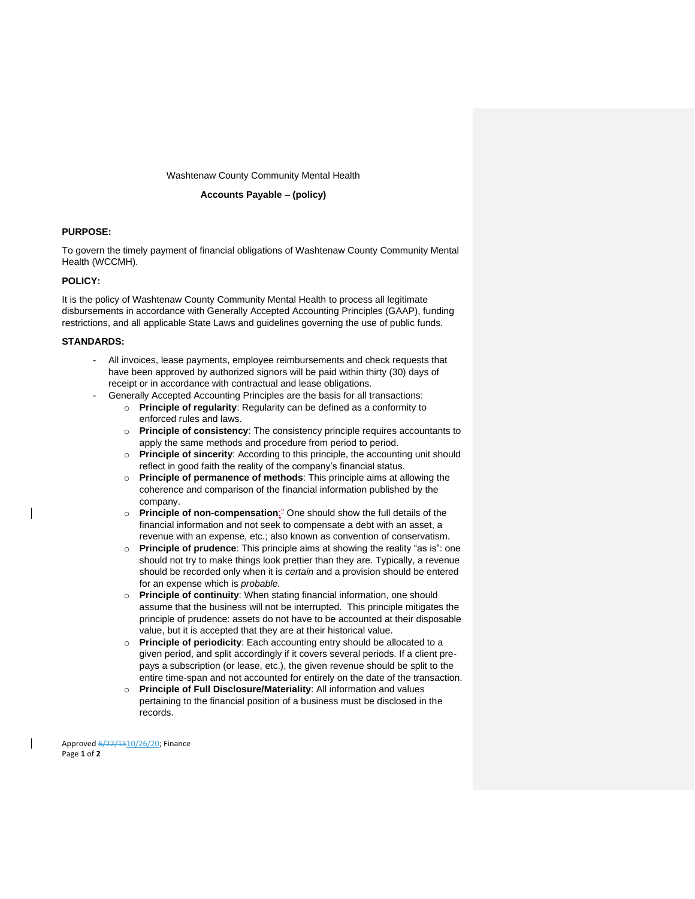Washtenaw County Community Mental Health

#### **Accounts Payable – (policy)**

### **PURPOSE:**

To govern the timely payment of financial obligations of Washtenaw County Community Mental Health (WCCMH).

#### **POLICY:**

It is the policy of Washtenaw County Community Mental Health to process all legitimate disbursements in accordance with Generally Accepted Accounting Principles (GAAP), funding restrictions, and all applicable State Laws and guidelines governing the use of public funds.

#### **STANDARDS:**

- All invoices, lease payments, employee reimbursements and check requests that have been approved by authorized signors will be paid within thirty (30) days of receipt or in accordance with contractual and lease obligations.
- Generally Accepted Accounting Principles are the basis for all transactions:
	- o **Principle of regularity**: Regularity can be defined as a conformity to enforced rules and laws.
	- o **Principle of consistency**: The consistency principle requires accountants to apply the same methods and procedure from period to period.
	- o **Principle of sincerity**: According to this principle, the accounting unit should reflect in good faith the reality of the company's financial status.
	- o **Principle of permanence of methods**: This principle aims at allowing the coherence and comparison of the financial information published by the company.
	- o **Principle of non-compensation**:" One should show the full details of the financial information and not seek to compensate a debt with an asset, a revenue with an expense, etc.; also known as convention of conservatism.
	- o **Principle of prudence**: This principle aims at showing the reality "as is": one should not try to make things look prettier than they are. Typically, a revenue should be recorded only when it is *certain* and a provision should be entered for an expense which is *probable.*
	- o **Principle of continuity**: When stating financial information, one should assume that the business will not be interrupted. This principle mitigates the principle of prudence: assets do not have to be accounted at their disposable value, but it is accepted that they are at their historical value.
	- o **Principle of periodicity**: Each accounting entry should be allocated to a given period, and split accordingly if it covers several periods. If a client prepays a subscription (or lease, etc.), the given revenue should be split to the entire time-span and not accounted for entirely on the date of the transaction.
	- o **Principle of Full Disclosure/Materiality**: All information and values pertaining to the financial position of a business must be disclosed in the records.

Approved 6/22/1510/26/20; Finance Page **1** of **2**